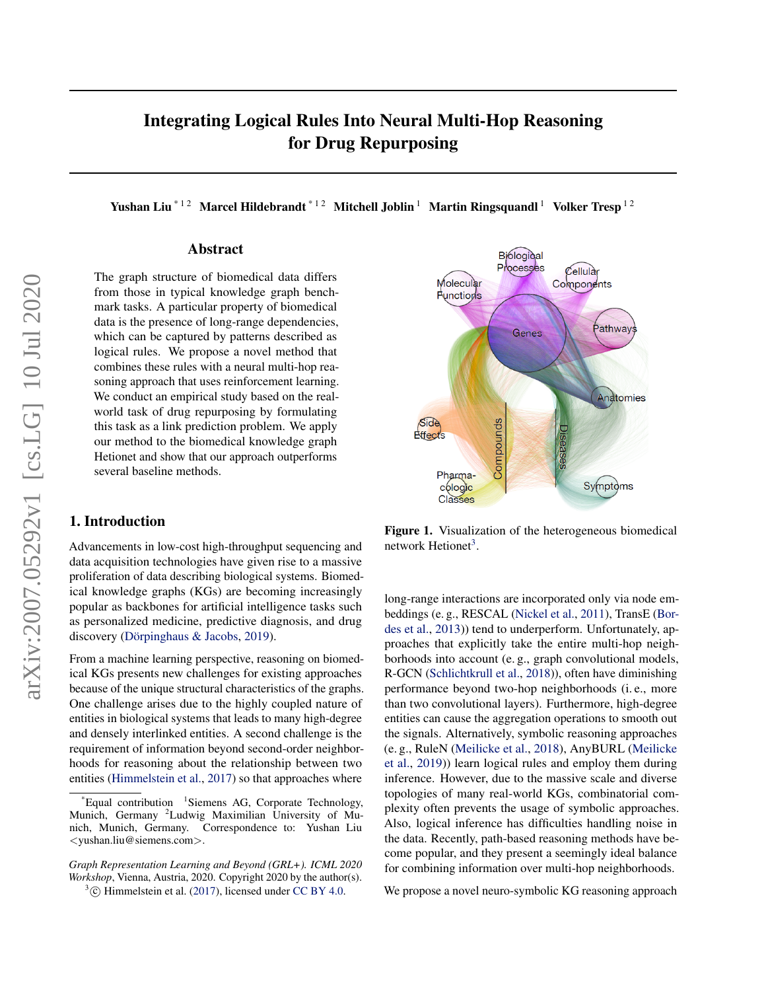# Integrating Logical Rules Into Neural Multi-Hop Reasoning for Drug Repurposing

Yushan Liu<sup>\*12</sup> Marcel Hildebrandt<sup>\*12</sup> Mitchell Joblin<sup>1</sup> Martin Ringsquandl<sup>1</sup> Volker Tresp<sup>12</sup>

### Abstract

The graph structure of biomedical data differs from those in typical knowledge graph benchmark tasks. A particular property of biomedical data is the presence of long-range dependencies, which can be captured by patterns described as logical rules. We propose a novel method that combines these rules with a neural multi-hop reasoning approach that uses reinforcement learning. We conduct an empirical study based on the realworld task of drug repurposing by formulating this task as a link prediction problem. We apply our method to the biomedical knowledge graph Hetionet and show that our approach outperforms several baseline methods.

## 1. Introduction

Advancements in low-cost high-throughput sequencing and data acquisition technologies have given rise to a massive proliferation of data describing biological systems. Biomedical knowledge graphs (KGs) are becoming increasingly popular as backbones for artificial intelligence tasks such as personalized medicine, predictive diagnosis, and drug discovery (Dörpinghaus  $& Jacobs, 2019$ ).

From a machine learning perspective, reasoning on biomedical KGs presents new challenges for existing approaches because of the unique structural characteristics of the graphs. One challenge arises due to the highly coupled nature of entities in biological systems that leads to many high-degree and densely interlinked entities. A second challenge is the requirement of information beyond second-order neighborhoods for reasoning about the relationship between two entities [\(Himmelstein et al.,](#page-4-0) [2017\)](#page-4-0) so that approaches where

*Graph Representation Learning and Beyond (GRL+). ICML 2020 Workshop*, Vienna, Austria, 2020. Copyright 2020 by the author(s).



Figure 1. Visualization of the heterogeneous biomedical network Hetionet<sup>3</sup>.

long-range interactions are incorporated only via node embeddings (e. g., RESCAL [\(Nickel et al.,](#page-4-0) [2011\)](#page-4-0), TransE [\(Bor](#page-4-0)[des et al.,](#page-4-0) [2013\)](#page-4-0)) tend to underperform. Unfortunately, approaches that explicitly take the entire multi-hop neighborhoods into account (e. g., graph convolutional models, R-GCN [\(Schlichtkrull et al.,](#page-4-0) [2018\)](#page-4-0)), often have diminishing performance beyond two-hop neighborhoods (i. e., more than two convolutional layers). Furthermore, high-degree entities can cause the aggregation operations to smooth out the signals. Alternatively, symbolic reasoning approaches (e. g., RuleN [\(Meilicke et al.,](#page-4-0) [2018\)](#page-4-0), AnyBURL [\(Meilicke](#page-4-0) [et al.,](#page-4-0) [2019\)](#page-4-0)) learn logical rules and employ them during inference. However, due to the massive scale and diverse topologies of many real-world KGs, combinatorial complexity often prevents the usage of symbolic approaches. Also, logical inference has difficulties handling noise in the data. Recently, path-based reasoning methods have become popular, and they present a seemingly ideal balance for combining information over multi-hop neighborhoods.

We propose a novel neuro-symbolic KG reasoning approach

<sup>\*</sup>Equal contribution <sup>1</sup> Siemens AG, Corporate Technology, Munich, Germany <sup>2</sup>Ludwig Maximilian University of Munich, Munich, Germany. Correspondence to: Yushan Liu <yushan.liu@siemens.com>.

 $3$ <sup>(C)</sup> Himmelstein et al. [\(2017\)](#page-4-0), licensed under [CC BY 4.0.](https://creativecommons.org/licenses/by/4.0/)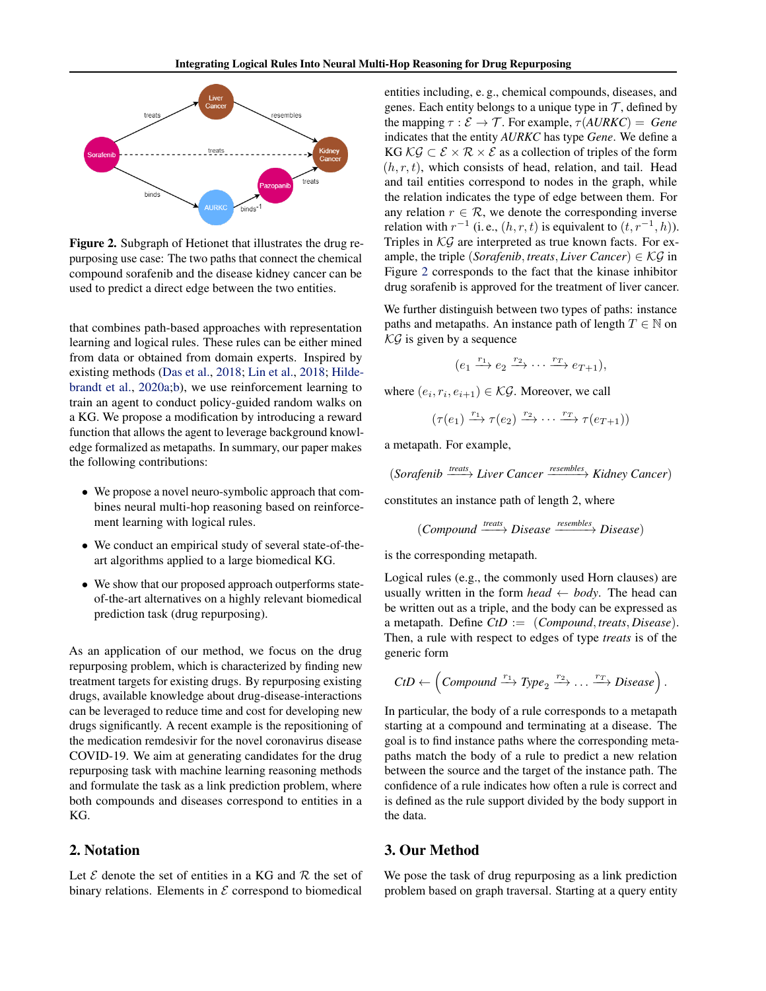<span id="page-1-0"></span>

Figure 2. Subgraph of Hetionet that illustrates the drug repurposing use case: The two paths that connect the chemical compound sorafenib and the disease kidney cancer can be used to predict a direct edge between the two entities.

that combines path-based approaches with representation learning and logical rules. These rules can be either mined from data or obtained from domain experts. Inspired by existing methods [\(Das et al.,](#page-4-0) [2018;](#page-4-0) [Lin et al.,](#page-4-0) [2018;](#page-4-0) [Hilde](#page-4-0)[brandt et al.,](#page-4-0) [2020a;b\)](#page-4-0), we use reinforcement learning to train an agent to conduct policy-guided random walks on a KG. We propose a modification by introducing a reward function that allows the agent to leverage background knowledge formalized as metapaths. In summary, our paper makes the following contributions:

- We propose a novel neuro-symbolic approach that combines neural multi-hop reasoning based on reinforcement learning with logical rules.
- We conduct an empirical study of several state-of-theart algorithms applied to a large biomedical KG.
- We show that our proposed approach outperforms stateof-the-art alternatives on a highly relevant biomedical prediction task (drug repurposing).

As an application of our method, we focus on the drug repurposing problem, which is characterized by finding new treatment targets for existing drugs. By repurposing existing drugs, available knowledge about drug-disease-interactions can be leveraged to reduce time and cost for developing new drugs significantly. A recent example is the repositioning of the medication remdesivir for the novel coronavirus disease COVID-19. We aim at generating candidates for the drug repurposing task with machine learning reasoning methods and formulate the task as a link prediction problem, where both compounds and diseases correspond to entities in a KG.

# 2. Notation

Let  $\mathcal E$  denote the set of entities in a KG and  $\mathcal R$  the set of binary relations. Elements in  $\mathcal E$  correspond to biomedical

entities including, e. g., chemical compounds, diseases, and genes. Each entity belongs to a unique type in  $\mathcal T$ , defined by the mapping  $\tau : \mathcal{E} \to \mathcal{T}$ . For example,  $\tau(AURKC) = Gene$ indicates that the entity *AURKC* has type *Gene*. We define a KG  $\mathcal{KG} \subset \mathcal{E} \times \mathcal{R} \times \mathcal{E}$  as a collection of triples of the form  $(h, r, t)$ , which consists of head, relation, and tail. Head and tail entities correspond to nodes in the graph, while the relation indicates the type of edge between them. For any relation  $r \in \mathcal{R}$ , we denote the corresponding inverse relation with  $r^{-1}$  (i.e.,  $(h, r, t)$  is equivalent to  $(t, r^{-1}, h)$ ). Triples in  $\mathcal{KG}$  are interpreted as true known facts. For example, the triple (*Sorafenib*, *treats*, *Liver Cancer*)  $\in$  *KG* in Figure 2 corresponds to the fact that the kinase inhibitor drug sorafenib is approved for the treatment of liver cancer.

We further distinguish between two types of paths: instance paths and metapaths. An instance path of length  $T \in \mathbb{N}$  on  $\mathcal{KG}$  is given by a sequence

$$
(e_1 \xrightarrow{r_1} e_2 \xrightarrow{r_2} \cdots \xrightarrow{r_T} e_{T+1}),
$$

where  $(e_i, r_i, e_{i+1}) \in \mathcal{KG}$ . Moreover, we call

$$
(\tau(e_1) \xrightarrow{r_1} \tau(e_2) \xrightarrow{r_2} \cdots \xrightarrow{r_T} \tau(e_{T+1}))
$$

a metapath. For example,

(*Sorafenib treats* −−−→ *Liver Cancer resembles* −−−−−→ *Kidney Cancer*)

constitutes an instance path of length 2, where

$$
(Compound \xrightarrow{treats} Disease \xrightarrow{resembles} Disease)
$$

is the corresponding metapath.

Logical rules (e.g., the commonly used Horn clauses) are usually written in the form *head*  $\leftarrow$  *body*. The head can be written out as a triple, and the body can be expressed as a metapath. Define *CtD* := (*Compound*, *treats*, *Disease*). Then, a rule with respect to edges of type *treats* is of the generic form

$$
CtD \leftarrow (Compound \xrightarrow{r_1} Type_2 \xrightarrow{r_2} \dots \xrightarrow{r_T} Disease).
$$

In particular, the body of a rule corresponds to a metapath starting at a compound and terminating at a disease. The goal is to find instance paths where the corresponding metapaths match the body of a rule to predict a new relation between the source and the target of the instance path. The confidence of a rule indicates how often a rule is correct and is defined as the rule support divided by the body support in the data.

# 3. Our Method

We pose the task of drug repurposing as a link prediction problem based on graph traversal. Starting at a query entity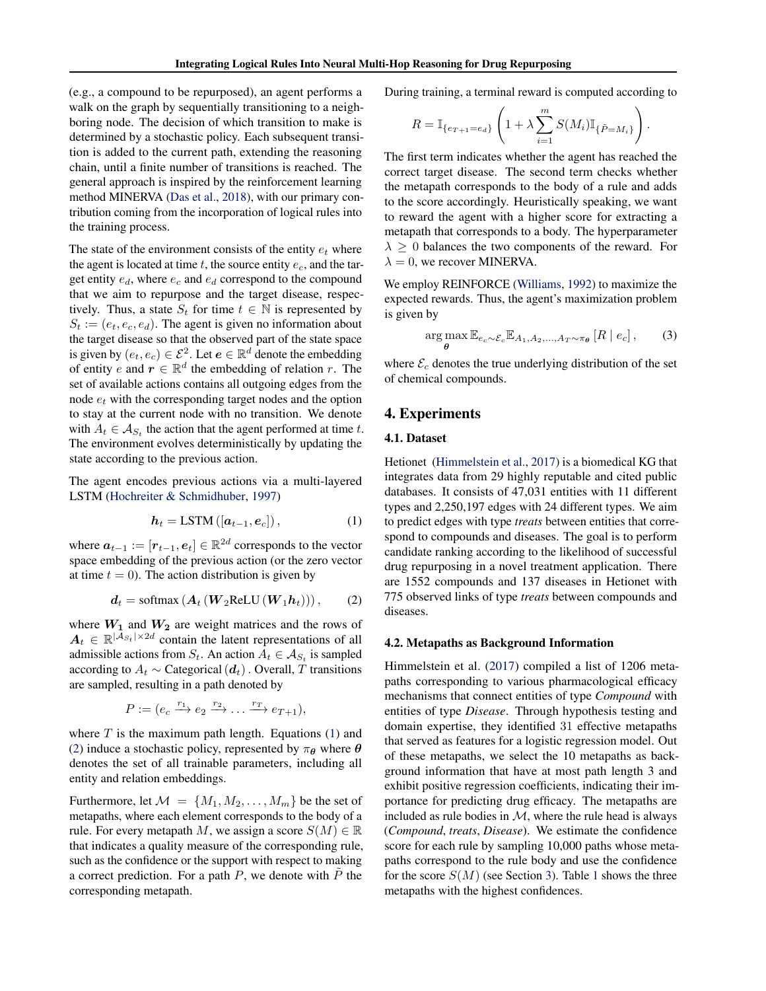<span id="page-2-0"></span>(e.g., a compound to be repurposed), an agent performs a walk on the graph by sequentially transitioning to a neighboring node. The decision of which transition to make is determined by a stochastic policy. Each subsequent transition is added to the current path, extending the reasoning chain, until a finite number of transitions is reached. The general approach is inspired by the reinforcement learning method MINERVA [\(Das et al.,](#page-4-0) [2018\)](#page-4-0), with our primary contribution coming from the incorporation of logical rules into the training process.

The state of the environment consists of the entity  $e_t$  where the agent is located at time t, the source entity  $e_c$ , and the target entity  $e_d$ , where  $e_c$  and  $e_d$  correspond to the compound that we aim to repurpose and the target disease, respectively. Thus, a state  $S_t$  for time  $t \in \mathbb{N}$  is represented by  $S_t := (e_t, e_c, e_d)$ . The agent is given no information about the target disease so that the observed part of the state space is given by  $(e_t, e_c) \in \mathcal{E}^2$ . Let  $e \in \mathbb{R}^d$  denote the embedding of entity e and  $r \in \mathbb{R}^d$  the embedding of relation r. The set of available actions contains all outgoing edges from the node  $e_t$  with the corresponding target nodes and the option to stay at the current node with no transition. We denote with  $A_t \in \mathcal{A}_{S_t}$  the action that the agent performed at time t. The environment evolves deterministically by updating the state according to the previous action.

The agent encodes previous actions via a multi-layered LSTM [\(Hochreiter & Schmidhuber,](#page-4-0) [1997\)](#page-4-0)

$$
h_t = \text{LSTM}\left(\left[a_{t-1}, e_c\right]\right),\tag{1}
$$

where  $\boldsymbol{a}_{t-1} := [\boldsymbol{r}_{t-1}, \boldsymbol{e}_t] \in \mathbb{R}^{2d}$  corresponds to the vector space embedding of the previous action (or the zero vector at time  $t = 0$ ). The action distribution is given by

$$
d_t = \text{softmax}\left(\boldsymbol{A}_t\left(\boldsymbol{W}_2 \text{ReLU}\left(\boldsymbol{W}_1 \boldsymbol{h}_t\right)\right)\right),\tag{2}
$$

where  $W_1$  and  $W_2$  are weight matrices and the rows of  $A_t \in \mathbb{R}^{|\mathcal{A}_{S_t}| \times 2d}$  contain the latent representations of all admissible actions from  $S_t$ . An action  $A_t \in \mathcal{A}_{S_t}$  is sampled according to  $A_t \sim$  Categorical  $(d_t)$ . Overall, T transitions are sampled, resulting in a path denoted by

$$
P := (e_c \xrightarrow{r_1} e_2 \xrightarrow{r_2} \dots \xrightarrow{r_T} e_{T+1}),
$$

where  $T$  is the maximum path length. Equations (1) and (2) induce a stochastic policy, represented by  $\pi_{\theta}$  where  $\theta$ denotes the set of all trainable parameters, including all entity and relation embeddings.

Furthermore, let  $\mathcal{M} = \{M_1, M_2, \ldots, M_m\}$  be the set of metapaths, where each element corresponds to the body of a rule. For every metapath M, we assign a score  $S(M) \in \mathbb{R}$ that indicates a quality measure of the corresponding rule, such as the confidence or the support with respect to making a correct prediction. For a path  $P$ , we denote with  $\tilde{P}$  the corresponding metapath.

During training, a terminal reward is computed according to

$$
R = \mathbb{I}_{\{e_{T+1}=e_d\}}\left(1 + \lambda \sum_{i=1}^m S(M_i)\mathbb{I}_{\{\tilde{P}=M_i\}}\right).
$$

The first term indicates whether the agent has reached the correct target disease. The second term checks whether the metapath corresponds to the body of a rule and adds to the score accordingly. Heuristically speaking, we want to reward the agent with a higher score for extracting a metapath that corresponds to a body. The hyperparameter  $\lambda \geq 0$  balances the two components of the reward. For  $\lambda = 0$ , we recover MINERVA.

We employ REINFORCE [\(Williams,](#page-4-0) [1992\)](#page-4-0) to maximize the expected rewards. Thus, the agent's maximization problem is given by

$$
\arg\max_{\boldsymbol{\theta}} \mathbb{E}_{e_c \sim \mathcal{E}_c} \mathbb{E}_{A_1, A_2, ..., A_T \sim \pi_{\boldsymbol{\theta}}} [R \mid e_c], \quad (3)
$$

where  $\mathcal{E}_c$  denotes the true underlying distribution of the set of chemical compounds.

# 4. Experiments

#### 4.1. Dataset

Hetionet [\(Himmelstein et al.,](#page-4-0) [2017\)](#page-4-0) is a biomedical KG that integrates data from 29 highly reputable and cited public databases. It consists of 47,031 entities with 11 different types and 2,250,197 edges with 24 different types. We aim to predict edges with type *treats* between entities that correspond to compounds and diseases. The goal is to perform candidate ranking according to the likelihood of successful drug repurposing in a novel treatment application. There are 1552 compounds and 137 diseases in Hetionet with 775 observed links of type *treats* between compounds and diseases.

#### 4.2. Metapaths as Background Information

Himmelstein et al. [\(2017\)](#page-4-0) compiled a list of 1206 metapaths corresponding to various pharmacological efficacy mechanisms that connect entities of type *Compound* with entities of type *Disease*. Through hypothesis testing and domain expertise, they identified 31 effective metapaths that served as features for a logistic regression model. Out of these metapaths, we select the 10 metapaths as background information that have at most path length 3 and exhibit positive regression coefficients, indicating their importance for predicting drug efficacy. The metapaths are included as rule bodies in  $M$ , where the rule head is always (*Compound*, *treats*, *Disease*). We estimate the confidence score for each rule by sampling 10,000 paths whose metapaths correspond to the rule body and use the confidence for the score  $S(M)$  (see Section [3\)](#page-1-0). Table [1](#page-3-0) shows the three metapaths with the highest confidences.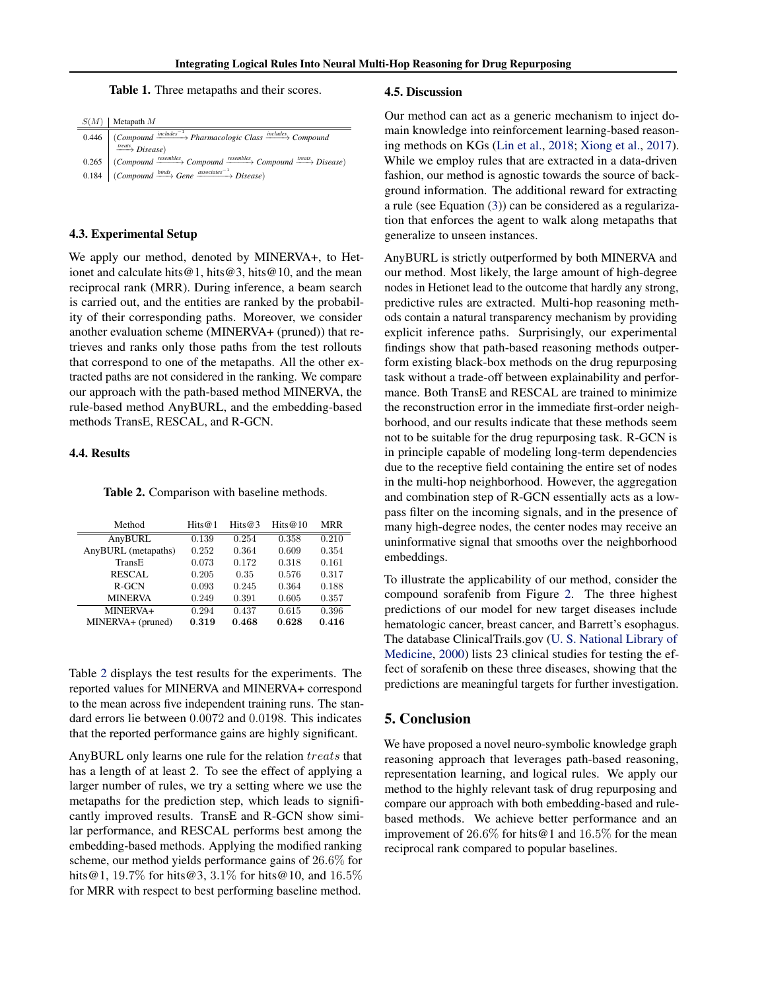Table 1. Three metapaths and their scores.

<span id="page-3-0"></span>

| $S(M)$   Metapath M                                                                                                                                                                                                               |
|-----------------------------------------------------------------------------------------------------------------------------------------------------------------------------------------------------------------------------------|
| 0.446 $\Big $ (Compound $\frac{includes^{-1}}{Pharmacologic Class}$ $\frac{includes}{CP}$ Compound                                                                                                                                |
| $\xrightarrow{treats} Discase$ )                                                                                                                                                                                                  |
|                                                                                                                                                                                                                                   |
| 0.265 (Compound $\frac{resembles}{\text{Compound}}$ Compound $\frac{resembles}{\text{Compound}}$ Compound $\frac{meambles}{\text{Compound}}$ Compound $\frac{bins}{\text{Compound}}$ Gene $\frac{associates}{\text{--}}$ Disease) |

### 4.3. Experimental Setup

We apply our method, denoted by MINERVA+, to Hetionet and calculate hits@1, hits@3, hits@10, and the mean reciprocal rank (MRR). During inference, a beam search is carried out, and the entities are ranked by the probability of their corresponding paths. Moreover, we consider another evaluation scheme (MINERVA+ (pruned)) that retrieves and ranks only those paths from the test rollouts that correspond to one of the metapaths. All the other extracted paths are not considered in the ranking. We compare our approach with the path-based method MINERVA, the rule-based method AnyBURL, and the embedding-based methods TransE, RESCAL, and R-GCN.

### 4.4. Results

| Method              | Hits $@1$ | Hits@3 | Hits $@10$ | <b>MRR</b> |
|---------------------|-----------|--------|------------|------------|
| AnyBURL             | 0.139     | 0.254  | 0.358      | 0.210      |
| AnyBURL (metapaths) | 0.252     | 0.364  | 0.609      | 0.354      |
| TransE              | 0.073     | 0.172  | 0.318      | 0.161      |
| <b>RESCAL</b>       | 0.205     | 0.35   | 0.576      | 0.317      |
| $R$ -GCN            | 0.093     | 0.245  | 0.364      | 0.188      |
| <b>MINERVA</b>      | 0.249     | 0.391  | 0.605      | 0.357      |
| MINERVA+            | 0.294     | 0.437  | 0.615      | 0.396      |
| MINERVA+ (pruned)   | 0.319     | 0.468  | 0.628      | 0.416      |

Table 2 displays the test results for the experiments. The reported values for MINERVA and MINERVA+ correspond to the mean across five independent training runs. The standard errors lie between 0.0072 and 0.0198. This indicates that the reported performance gains are highly significant.

AnyBURL only learns one rule for the relation treats that has a length of at least 2. To see the effect of applying a larger number of rules, we try a setting where we use the metapaths for the prediction step, which leads to significantly improved results. TransE and R-GCN show similar performance, and RESCAL performs best among the embedding-based methods. Applying the modified ranking scheme, our method yields performance gains of 26.6% for hits@1, 19.7% for hits@3, 3.1% for hits@10, and 16.5% for MRR with respect to best performing baseline method.

#### 4.5. Discussion

Our method can act as a generic mechanism to inject domain knowledge into reinforcement learning-based reasoning methods on KGs [\(Lin et al.,](#page-4-0) [2018;](#page-4-0) [Xiong et al.,](#page-4-0) [2017\)](#page-4-0). While we employ rules that are extracted in a data-driven fashion, our method is agnostic towards the source of background information. The additional reward for extracting a rule (see Equation [\(3\)](#page-2-0)) can be considered as a regularization that enforces the agent to walk along metapaths that generalize to unseen instances.

AnyBURL is strictly outperformed by both MINERVA and our method. Most likely, the large amount of high-degree nodes in Hetionet lead to the outcome that hardly any strong, predictive rules are extracted. Multi-hop reasoning methods contain a natural transparency mechanism by providing explicit inference paths. Surprisingly, our experimental findings show that path-based reasoning methods outperform existing black-box methods on the drug repurposing task without a trade-off between explainability and performance. Both TransE and RESCAL are trained to minimize the reconstruction error in the immediate first-order neighborhood, and our results indicate that these methods seem not to be suitable for the drug repurposing task. R-GCN is in principle capable of modeling long-term dependencies due to the receptive field containing the entire set of nodes in the multi-hop neighborhood. However, the aggregation and combination step of R-GCN essentially acts as a lowpass filter on the incoming signals, and in the presence of many high-degree nodes, the center nodes may receive an uninformative signal that smooths over the neighborhood embeddings.

To illustrate the applicability of our method, consider the compound sorafenib from Figure [2.](#page-1-0) The three highest predictions of our model for new target diseases include hematologic cancer, breast cancer, and Barrett's esophagus. The database ClinicalTrails.gov [\(U. S. National Library of](#page-4-0) [Medicine,](#page-4-0) [2000\)](#page-4-0) lists 23 clinical studies for testing the effect of sorafenib on these three diseases, showing that the predictions are meaningful targets for further investigation.

### 5. Conclusion

We have proposed a novel neuro-symbolic knowledge graph reasoning approach that leverages path-based reasoning, representation learning, and logical rules. We apply our method to the highly relevant task of drug repurposing and compare our approach with both embedding-based and rulebased methods. We achieve better performance and an improvement of 26.6% for hits@1 and 16.5% for the mean reciprocal rank compared to popular baselines.